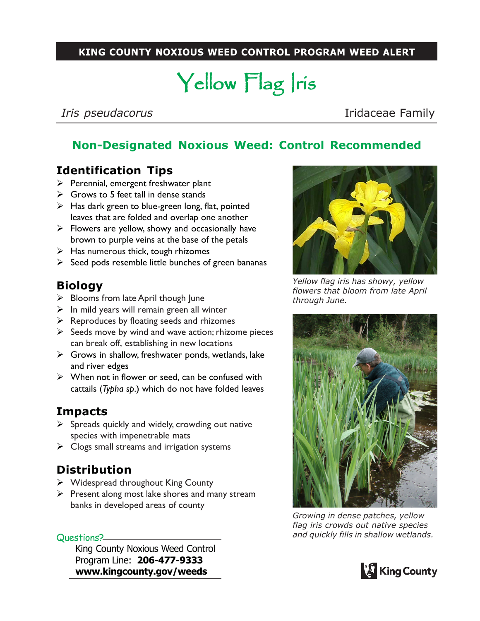#### **KING COUNTY NOXIOUS WEED CONTROL PROGRAM WEED ALERT**

# Yellow Flag Iris

*Iris pseudacorus* **Iridaceae Family** 

## **Non-Designated Noxious Weed: Control Recommended**

### **Identification Tips**

- $\triangleright$  Perennial, emergent freshwater plant
- $\triangleright$  Grows to 5 feet tall in dense stands
- $\triangleright$  Has dark green to blue-green long, flat, pointed leaves that are folded and overlap one another
- $\triangleright$  Flowers are yellow, showy and occasionally have brown to purple veins at the base of the petals
- $\triangleright$  Has numerous thick, tough rhizomes
- $\triangleright$  Seed pods resemble little bunches of green bananas

#### **Biology**

- $\triangleright$  Blooms from late April though June
- $\triangleright$  In mild years will remain green all winter
- $\triangleright$  Reproduces by floating seeds and rhizomes
- $\triangleright$  Seeds move by wind and wave action; rhizome pieces can break off, establishing in new locations
- $\triangleright$  Grows in shallow, freshwater ponds, wetlands, lake and river edges
- $\triangleright$  When not in flower or seed, can be confused with cattails (*Typha sp*.) which do not have folded leaves

#### **Impacts**

- $\triangleright$  Spreads quickly and widely, crowding out native species with impenetrable mats
- $\triangleright$  Clogs small streams and irrigation systems

#### **Distribution**

- $\triangleright$  Widespread throughout King County
- $\triangleright$  Present along most lake shores and many stream banks in developed areas of county

Questions?

King County Noxious Weed Control Program Line: **206-477-9333 www.kingcounty.gov/weeds**



*Yellow flag iris has showy, yellow flowers that bloom from late April through June.*



*Growing in dense patches, yellow flag iris crowds out native species and quickly fills in shallow wetlands.*